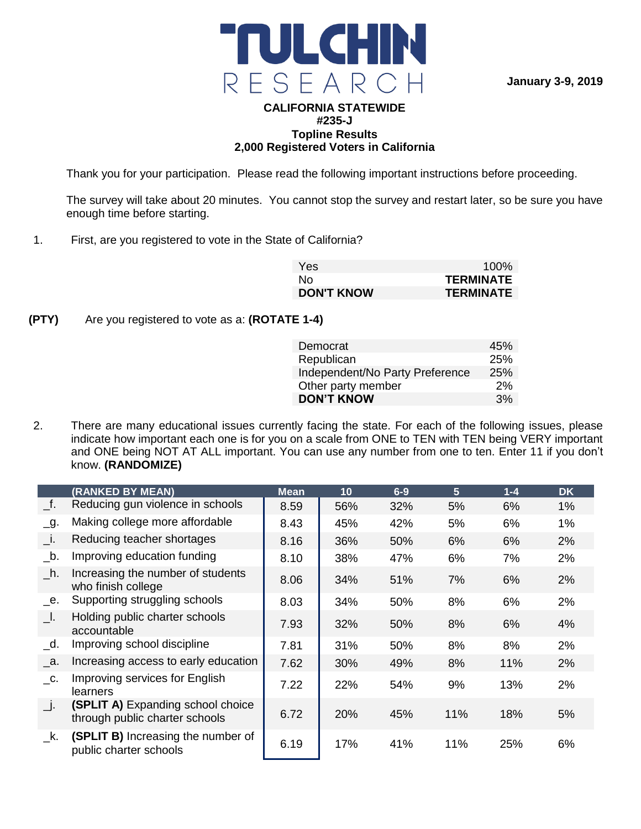

**January 3-9, 2019**

### **CALIFORNIA STATEWIDE #235-J Topline Results 2,000 Registered Voters in California**

Thank you for your participation. Please read the following important instructions before proceeding.

The survey will take about 20 minutes. You cannot stop the survey and restart later, so be sure you have enough time before starting.

1. First, are you registered to vote in the State of California?

| Yes:              | $100\%$          |
|-------------------|------------------|
| No.               | <b>TERMINATE</b> |
| <b>DON'T KNOW</b> | <b>TERMINATE</b> |

**(PTY)** Are you registered to vote as a: **(ROTATE 1-4)**

| Democrat                        | 45%        |
|---------------------------------|------------|
| Republican                      | 25%        |
| Independent/No Party Preference | <b>25%</b> |
| Other party member              | 2%         |
| <b>DON'T KNOW</b>               | 3%         |

2. There are many educational issues currently facing the state. For each of the following issues, please indicate how important each one is for you on a scale from ONE to TEN with TEN being VERY important and ONE being NOT AT ALL important. You can use any number from one to ten. Enter 11 if you don't know. **(RANDOMIZE)**

|                   | (RANKED BY MEAN)                                                           | <b>Mean</b> | 10  | $6-9$ | 5 <sup>5</sup> | $1 - 4$ | <b>DK</b> |
|-------------------|----------------------------------------------------------------------------|-------------|-----|-------|----------------|---------|-----------|
| $\_f$ .           | Reducing gun violence in schools                                           | 8.59        | 56% | 32%   | 5%             | 6%      | 1%        |
| $\overline{-}9$ . | Making college more affordable                                             | 8.43        | 45% | 42%   | 5%             | 6%      | 1%        |
| $\Box$ i.         | Reducing teacher shortages                                                 | 8.16        | 36% | 50%   | 6%             | 6%      | 2%        |
| $\_b$ .           | Improving education funding                                                | 8.10        | 38% | 47%   | 6%             | 7%      | 2%        |
| h.                | Increasing the number of students<br>who finish college                    | 8.06        | 34% | 51%   | 7%             | 6%      | 2%        |
| е.                | Supporting struggling schools                                              | 8.03        | 34% | 50%   | 8%             | 6%      | 2%        |
| - I.              | Holding public charter schools<br>accountable                              | 7.93        | 32% | 50%   | 8%             | 6%      | 4%        |
| $\lrcorner$ d.    | Improving school discipline                                                | 7.81        | 31% | 50%   | 8%             | 8%      | 2%        |
| а.                | Increasing access to early education                                       | 7.62        | 30% | 49%   | 8%             | 11%     | 2%        |
| $\_{\rm C}$ .     | Improving services for English<br>learners                                 | 7.22        | 22% | 54%   | 9%             | 13%     | 2%        |
| $\Box$ .          | <b>(SPLIT A)</b> Expanding school choice<br>through public charter schools | 6.72        | 20% | 45%   | 11%            | 18%     | 5%        |
| k.                | (SPLIT B) Increasing the number of<br>public charter schools               | 6.19        | 17% | 41%   | 11%            | 25%     | 6%        |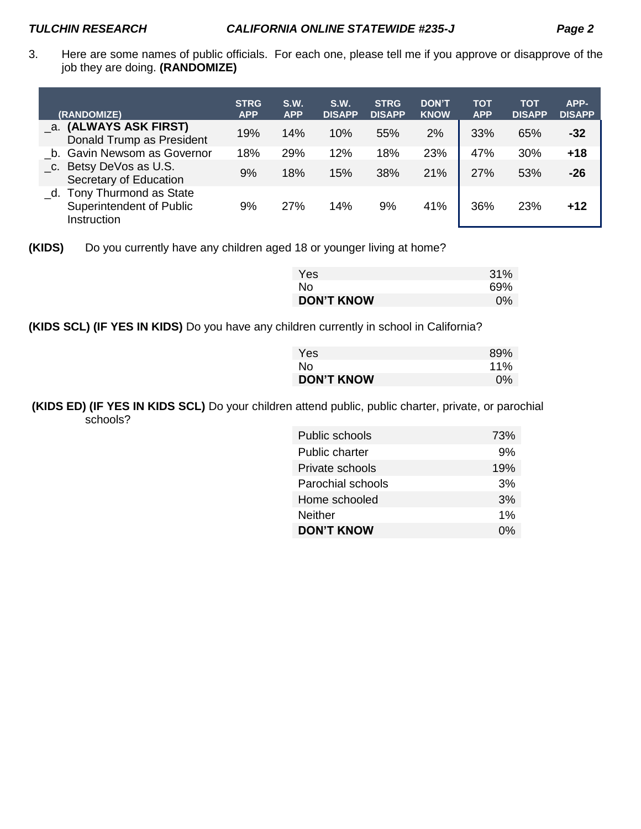3. Here are some names of public officials. For each one, please tell me if you approve or disapprove of the job they are doing. **(RANDOMIZE)** 

| (RANDOMIZE)                                                             | <b>STRG</b><br><b>APP</b> | S.W.<br><b>APP</b> | S.W.<br><b>DISAPP</b> | <b>STRG</b><br><b>DISAPP</b> | <b>DON'T</b><br><b>KNOW</b> | <b>TOT</b><br><b>APP</b> | <b>TOT</b><br><b>DISAPP</b> | APP-<br><b>DISAPP</b> |
|-------------------------------------------------------------------------|---------------------------|--------------------|-----------------------|------------------------------|-----------------------------|--------------------------|-----------------------------|-----------------------|
| _a. (ALWAYS ASK FIRST)<br>Donald Trump as President                     | 19%                       | 14%                | 10%                   | 55%                          | 2%                          | 33%                      | 65%                         | $-32$                 |
| b. Gavin Newsom as Governor                                             | 18%                       | 29%                | 12%                   | 18%                          | 23%                         | 47%                      | 30%                         | $+18$                 |
| _c. Betsy DeVos as U.S.<br>Secretary of Education                       | 9%                        | 18%                | 15%                   | 38%                          | 21%                         | 27%                      | 53%                         | $-26$                 |
| Tony Thurmond as State<br>d.<br>Superintendent of Public<br>Instruction | 9%                        | 27%                | 14%                   | 9%                           | 41%                         | 36%                      | 23%                         | $+12$                 |

**<sup>(</sup>KIDS)** Do you currently have any children aged 18 or younger living at home?

| <b>Yes</b>        | 31%   |
|-------------------|-------|
| No.               | 69%   |
| <b>DON'T KNOW</b> | $0\%$ |

**(KIDS SCL) (IF YES IN KIDS)** Do you have any children currently in school in California?

| Yes               | 89%   |
|-------------------|-------|
| No.               | 11%   |
| <b>DON'T KNOW</b> | $0\%$ |

**(KIDS ED) (IF YES IN KIDS SCL)** Do your children attend public, public charter, private, or parochial schools?

| Public schools        | 73% |
|-----------------------|-----|
| <b>Public charter</b> | 9%  |
| Private schools       | 19% |
| Parochial schools     | 3%  |
| Home schooled         | 3%  |
| Neither               | 1%  |
| <b>DON'T KNOW</b>     | በ%  |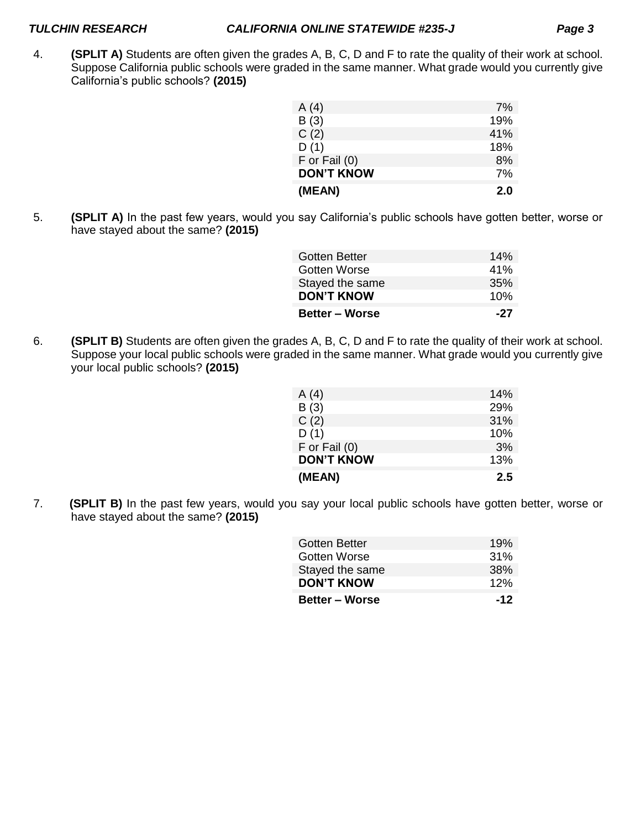4. **(SPLIT A)** Students are often given the grades A, B, C, D and F to rate the quality of their work at school. Suppose California public schools were graded in the same manner. What grade would you currently give California's public schools? **(2015)**

| A(4)              | 7%  |
|-------------------|-----|
| B(3)              | 19% |
| C(2)              | 41% |
| D(1)              | 18% |
| $F$ or Fail $(0)$ | 8%  |
| <b>DON'T KNOW</b> | 7%  |
| (MEAN)            | 2.0 |

5. **(SPLIT A)** In the past few years, would you say California's public schools have gotten better, worse or have stayed about the same? **(2015)**

| <b>Gotten Better</b>  | 14% |
|-----------------------|-----|
| Gotten Worse          | 41% |
| Stayed the same       | 35% |
| <b>DON'T KNOW</b>     | 10% |
| <b>Better – Worse</b> | -27 |

6. **(SPLIT B)** Students are often given the grades A, B, C, D and F to rate the quality of their work at school. Suppose your local public schools were graded in the same manner. What grade would you currently give your local public schools? **(2015)**

| (MEAN)            | 2.5 |
|-------------------|-----|
| <b>DON'T KNOW</b> | 13% |
| $F$ or Fail $(0)$ | 3%  |
| D(1)              | 10% |
| C(2)              | 31% |
| B(3)              | 29% |
| A(4)              | 14% |
|                   |     |

7. **(SPLIT B)** In the past few years, would you say your local public schools have gotten better, worse or have stayed about the same? **(2015)**

| <b>Better – Worse</b> | $-12$ |
|-----------------------|-------|
| <b>DON'T KNOW</b>     | 12%   |
| Stayed the same       | 38%   |
| Gotten Worse          | 31%   |
| <b>Gotten Better</b>  | 19%   |
|                       |       |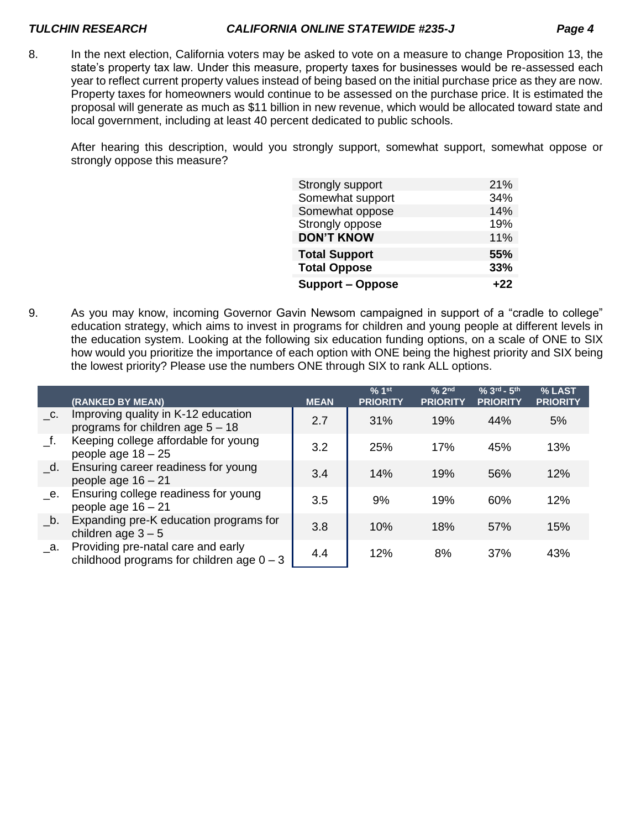8. In the next election, California voters may be asked to vote on a measure to change Proposition 13, the state's property tax law. Under this measure, property taxes for businesses would be re-assessed each year to reflect current property values instead of being based on the initial purchase price as they are now. Property taxes for homeowners would continue to be assessed on the purchase price. It is estimated the proposal will generate as much as \$11 billion in new revenue, which would be allocated toward state and local government, including at least 40 percent dedicated to public schools.

After hearing this description, would you strongly support, somewhat support, somewhat oppose or strongly oppose this measure?

| Strongly support        | 21%   |
|-------------------------|-------|
| Somewhat support        | 34%   |
| Somewhat oppose         | 14%   |
| Strongly oppose         | 19%   |
| <b>DON'T KNOW</b>       | 11%   |
| <b>Total Support</b>    | 55%   |
| <b>Total Oppose</b>     | 33%   |
| <b>Support – Oppose</b> | $+22$ |

9. As you may know, incoming Governor Gavin Newsom campaigned in support of a "cradle to college" education strategy, which aims to invest in programs for children and young people at different levels in the education system. Looking at the following six education funding options, on a scale of ONE to SIX how would you prioritize the importance of each option with ONE being the highest priority and SIX being the lowest priority? Please use the numbers ONE through SIX to rank ALL options.

|                           | (RANKED BY MEAN)                                                                  | <b>MEAN</b> | % 1 <sup>st</sup><br><b>PRIORITY</b> | % 2 <sup>nd</sup><br><b>PRIORITY</b> | $% 3rd - 5th$<br><b>PRIORITY</b> | % LAST<br><b>PRIORITY</b> |
|---------------------------|-----------------------------------------------------------------------------------|-------------|--------------------------------------|--------------------------------------|----------------------------------|---------------------------|
| C.                        | Improving quality in K-12 education<br>programs for children age $5 - 18$         | 2.7         | 31%                                  | 19%                                  | 44%                              | 5%                        |
| f.                        | Keeping college affordable for young<br>people age $18 - 25$                      | 3.2         | 25%                                  | 17%                                  | 45%                              | 13%                       |
| $\overline{\mathsf{d}}$ . | Ensuring career readiness for young<br>people age $16 - 21$                       | 3.4         | 14%                                  | 19%                                  | 56%                              | 12%                       |
| е.                        | Ensuring college readiness for young<br>people age $16 - 21$                      | 3.5         | 9%                                   | 19%                                  | 60%                              | 12%                       |
| b.                        | Expanding pre-K education programs for<br>children age $3-5$                      | 3.8         | 10%                                  | 18%                                  | 57%                              | 15%                       |
| а.                        | Providing pre-natal care and early<br>childhood programs for children age $0 - 3$ | 4.4         | 12%                                  | 8%                                   | 37%                              | 43%                       |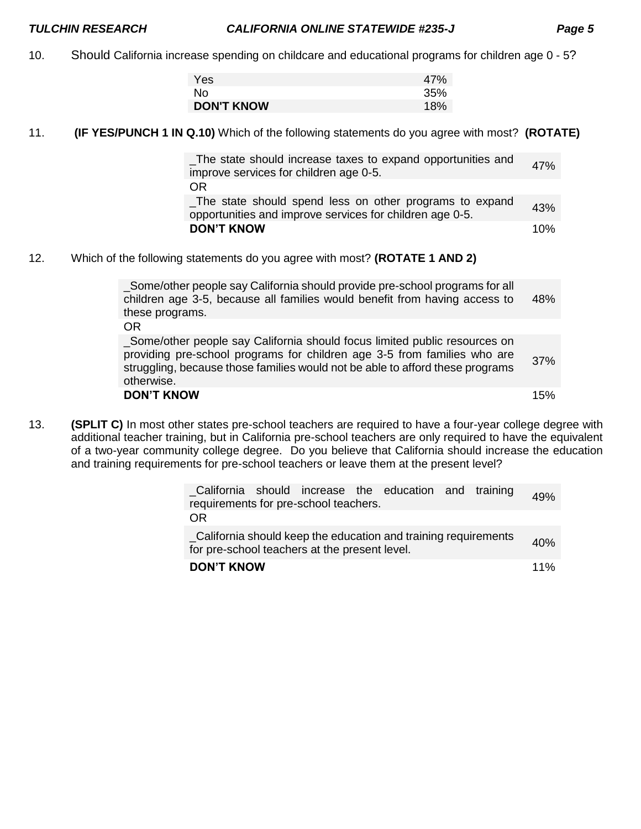10. Should California increase spending on childcare and educational programs for children age 0 - 5?

| Yes               | 47% |
|-------------------|-----|
| No.               | 35% |
| <b>DON'T KNOW</b> | 18% |

11. **(IF YES/PUNCH 1 IN Q.10)** Which of the following statements do you agree with most? **(ROTATE)**

| The state should increase taxes to expand opportunities and<br>improve services for children age 0-5.               | 47% |
|---------------------------------------------------------------------------------------------------------------------|-----|
| OR                                                                                                                  |     |
| The state should spend less on other programs to expand<br>opportunities and improve services for children age 0-5. | 43% |
| <b>DON'T KNOW</b>                                                                                                   | 10% |
|                                                                                                                     |     |

12. Which of the following statements do you agree with most? **(ROTATE 1 AND 2)**

| _Some/other people say California should provide pre-school programs for all<br>children age 3-5, because all families would benefit from having access to<br>these programs.                                                                 | 48% |
|-----------------------------------------------------------------------------------------------------------------------------------------------------------------------------------------------------------------------------------------------|-----|
| OR<br>_Some/other people say California should focus limited public resources on<br>providing pre-school programs for children age 3-5 from families who are<br>struggling, because those families would not be able to afford these programs | 37% |
| otherwise.<br><b>DON'T KNOW</b>                                                                                                                                                                                                               | 15% |

13. **(SPLIT C)** In most other states pre-school teachers are required to have a four-year college degree with additional teacher training, but in California pre-school teachers are only required to have the equivalent of a two-year community college degree. Do you believe that California should increase the education and training requirements for pre-school teachers or leave them at the present level?

| California should increase the education and training<br>requirements for pre-school teachers.                  | 49% |
|-----------------------------------------------------------------------------------------------------------------|-----|
| 0 <sub>R</sub>                                                                                                  |     |
| California should keep the education and training requirements<br>for pre-school teachers at the present level. | 40% |
| <b>DON'T KNOW</b>                                                                                               | 11% |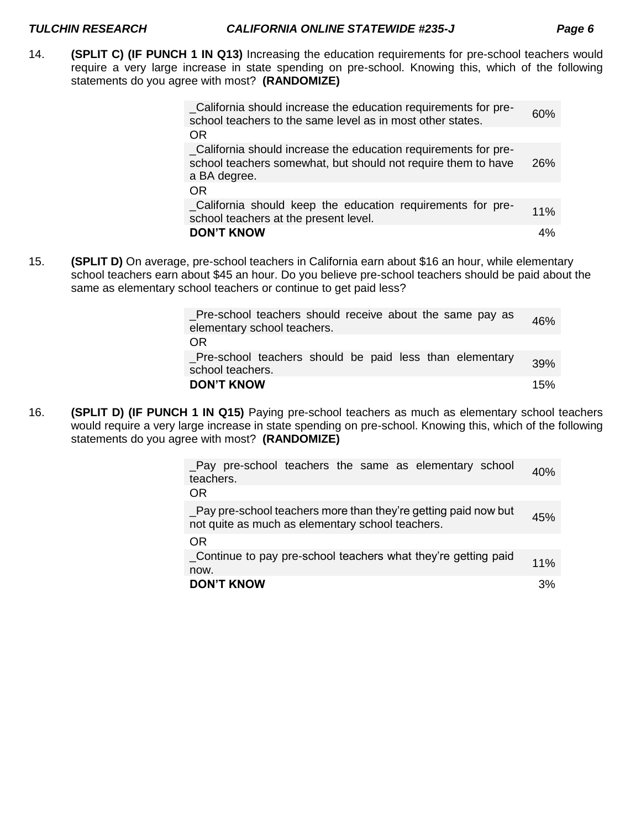14. **(SPLIT C) (IF PUNCH 1 IN Q13)** Increasing the education requirements for pre-school teachers would require a very large increase in state spending on pre-school. Knowing this, which of the following statements do you agree with most? **(RANDOMIZE)**

| _California should increase the education requirements for pre-<br>school teachers to the same level as in most other states.                    | 60% |
|--------------------------------------------------------------------------------------------------------------------------------------------------|-----|
| <b>OR</b>                                                                                                                                        |     |
| _California should increase the education requirements for pre-<br>school teachers somewhat, but should not require them to have<br>a BA degree. | 26% |
| <b>OR</b>                                                                                                                                        |     |
| _California should keep the education requirements for pre-<br>school teachers at the present level.                                             | 11% |
| <b>DON'T KNOW</b>                                                                                                                                | 4%  |

15. **(SPLIT D)** On average, pre-school teachers in California earn about \$16 an hour, while elementary school teachers earn about \$45 an hour. Do you believe pre-school teachers should be paid about the same as elementary school teachers or continue to get paid less?

| Pre-school teachers should receive about the same pay as<br>elementary school teachers. | 46% |
|-----------------------------------------------------------------------------------------|-----|
| OR.                                                                                     |     |
| Pre-school teachers should be paid less than elementary<br>school teachers.             | 39% |
| <b>DON'T KNOW</b>                                                                       | 15% |

16. **(SPLIT D) (IF PUNCH 1 IN Q15)** Paying pre-school teachers as much as elementary school teachers would require a very large increase in state spending on pre-school. Knowing this, which of the following statements do you agree with most? **(RANDOMIZE)**

| Pay pre-school teachers the same as elementary school<br>teachers.                                                  | 40% |
|---------------------------------------------------------------------------------------------------------------------|-----|
| OR.                                                                                                                 |     |
| _Pay pre-school teachers more than they're getting paid now but<br>not quite as much as elementary school teachers. | 45% |
| OR.                                                                                                                 |     |
| _Continue to pay pre-school teachers what they're getting paid<br>now.                                              | 11% |
| <b>DON'T KNOW</b>                                                                                                   | 3%  |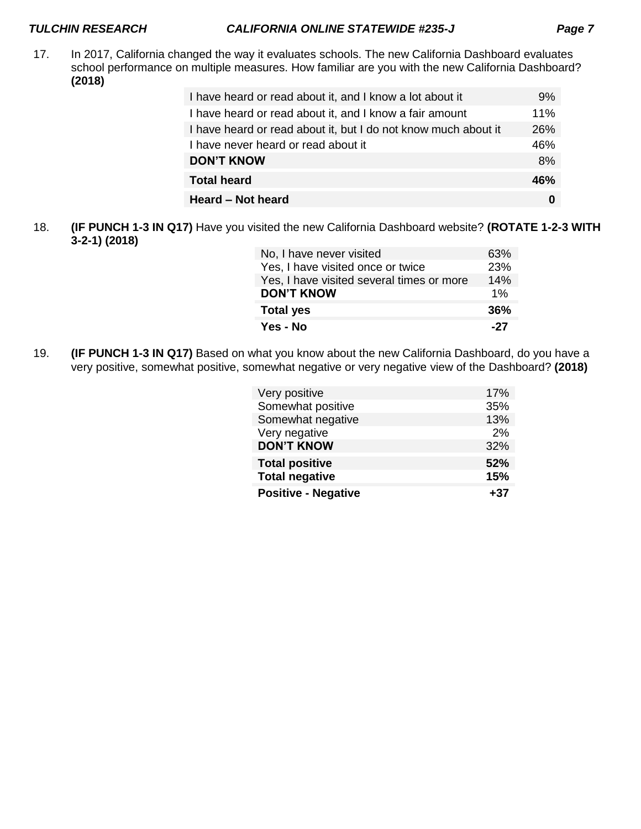17. In 2017, California changed the way it evaluates schools. The new California Dashboard evaluates school performance on multiple measures. How familiar are you with the new California Dashboard? **(2018)**

| I have heard or read about it, and I know a lot about it       | 9%  |
|----------------------------------------------------------------|-----|
| I have heard or read about it, and I know a fair amount        | 11% |
| I have heard or read about it, but I do not know much about it | 26% |
| I have never heard or read about it                            | 46% |
| <b>DON'T KNOW</b>                                              | 8%  |
| <b>Total heard</b>                                             | 46% |
| Heard – Not heard                                              | 0   |

18. **(IF PUNCH 1-3 IN Q17)** Have you visited the new California Dashboard website? **(ROTATE 1-2-3 WITH 3-2-1) (2018)**

| No, I have never visited                  | 63% |
|-------------------------------------------|-----|
| Yes, I have visited once or twice         | 23% |
| Yes, I have visited several times or more | 14% |
| <b>DON'T KNOW</b>                         | 1%  |
| <b>Total yes</b>                          | 36% |
| Yes - No                                  | -27 |

19. **(IF PUNCH 1-3 IN Q17)** Based on what you know about the new California Dashboard, do you have a very positive, somewhat positive, somewhat negative or very negative view of the Dashboard? **(2018)**

| Very positive              | 17% |
|----------------------------|-----|
| Somewhat positive          | 35% |
| Somewhat negative          | 13% |
| Very negative              | 2%  |
| <b>DON'T KNOW</b>          | 32% |
| <b>Total positive</b>      | 52% |
| <b>Total negative</b>      | 15% |
| <b>Positive - Negative</b> | +37 |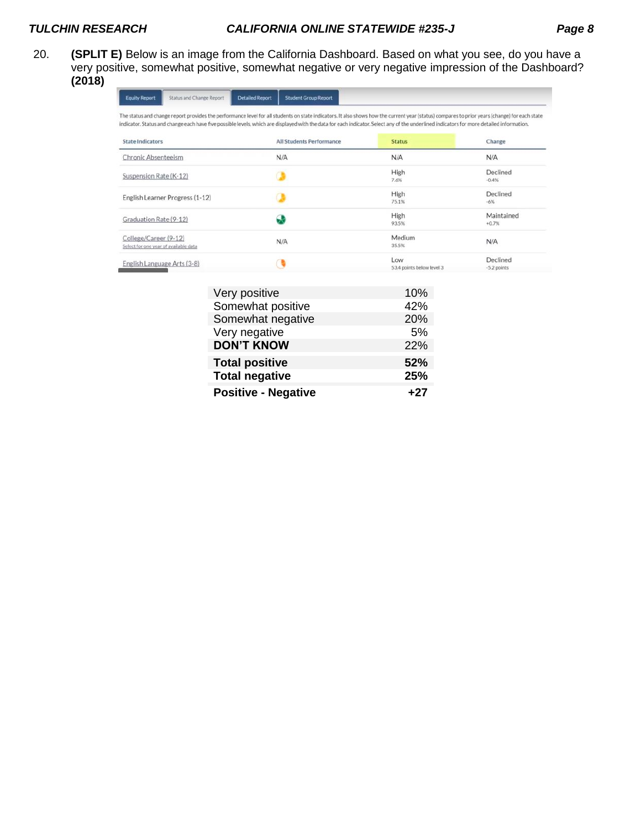20. **(SPLIT E)** Below is an image from the California Dashboard. Based on what you see, do you have a very positive, somewhat positive, somewhat negative or very negative impression of the Dashboard? **(2018)**

| <b>Equity Report</b>                                           | Status and Change Report        | <b>Detailed Report</b><br><b>Student Group Report</b> |                                                                                                                                                                                                                                                                                                                                                                                            |                           |
|----------------------------------------------------------------|---------------------------------|-------------------------------------------------------|--------------------------------------------------------------------------------------------------------------------------------------------------------------------------------------------------------------------------------------------------------------------------------------------------------------------------------------------------------------------------------------------|---------------------------|
|                                                                |                                 |                                                       | The status and change report provides the performance level for all students on state indicators. It also shows how the current year (status) compares to prior years (change) for each state<br>indicator. Status and change each have five possible levels, which are displayed with the data for each indicator. Select any of the underlined indicators for more detailed information. |                           |
| <b>State Indicators</b>                                        |                                 | All Students Performance                              | <b>Status</b>                                                                                                                                                                                                                                                                                                                                                                              | Change                    |
| <b>Chronic Absenteeism</b>                                     |                                 | N/A                                                   | N/A                                                                                                                                                                                                                                                                                                                                                                                        | N/A                       |
| Suspension Rate (K-12)                                         |                                 |                                                       | High<br>7.6%                                                                                                                                                                                                                                                                                                                                                                               | Declined<br>$-0.4%$       |
|                                                                | English Learner Progress (1-12) |                                                       | High<br>75.1%                                                                                                                                                                                                                                                                                                                                                                              | Declined<br>$-6%$         |
| Graduation Rate (9-12)                                         |                                 | æ                                                     | High<br>93.5%                                                                                                                                                                                                                                                                                                                                                                              | Maintained<br>$+0.7%$     |
| College/Career (9-12)<br>Select for one year of available data |                                 | N/A                                                   | Medium<br>35.5%                                                                                                                                                                                                                                                                                                                                                                            | N/A                       |
| English Language Arts (3-8)                                    |                                 |                                                       | Low<br>53.4 points below level 3                                                                                                                                                                                                                                                                                                                                                           | Declined<br>$-5.2$ points |

| Very positive              | 10%   |
|----------------------------|-------|
| Somewhat positive          | 42%   |
| Somewhat negative          | 20%   |
| Very negative              | 5%    |
| <b>DON'T KNOW</b>          | 22%   |
| <b>Total positive</b>      | 52%   |
| <b>Total negative</b>      | 25%   |
| <b>Positive - Negative</b> | $+27$ |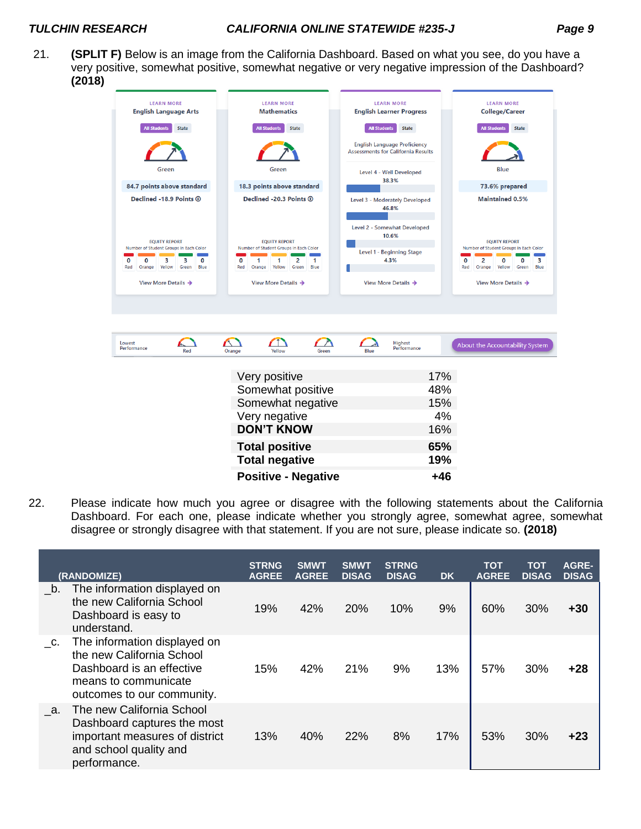21. **(SPLIT F)** Below is an image from the California Dashboard. Based on what you see, do you have a very positive, somewhat positive, somewhat negative or very negative impression of the Dashboard? **(2018)**

| <b>LEARN MORE</b><br><b>English Language Arts</b>                                                                                                                                           | <b>LEARN MORE</b><br><b>Mathematics</b>                                                                                                                                | <b>LEARN MORE</b><br><b>English Learner Progress</b>                                                                 | <b>LEARN MORE</b><br><b>College/Career</b>                                                                                                                                                                     |  |
|---------------------------------------------------------------------------------------------------------------------------------------------------------------------------------------------|------------------------------------------------------------------------------------------------------------------------------------------------------------------------|----------------------------------------------------------------------------------------------------------------------|----------------------------------------------------------------------------------------------------------------------------------------------------------------------------------------------------------------|--|
| <b>State</b><br><b>All Students</b>                                                                                                                                                         | <b>State</b><br><b>All Students</b>                                                                                                                                    | <b>All Students</b><br><b>State</b>                                                                                  | <b>State</b><br><b>All Students</b>                                                                                                                                                                            |  |
|                                                                                                                                                                                             |                                                                                                                                                                        | <b>English Language Proficiency</b><br><b>Assessments for California Results</b>                                     |                                                                                                                                                                                                                |  |
| Green                                                                                                                                                                                       | Green                                                                                                                                                                  | Level 4 - Well Developed                                                                                             | Blue                                                                                                                                                                                                           |  |
| 84.7 points above standard                                                                                                                                                                  | 18.3 points above standard                                                                                                                                             | 38.3%                                                                                                                | 73.6% prepared                                                                                                                                                                                                 |  |
| Declined -18.9 Points ®                                                                                                                                                                     | Declined -20.3 Points ®                                                                                                                                                | Level 3 - Moderately Developed<br>46.8%                                                                              | <b>Maintained 0.5%</b><br><b>EQUITY REPORT</b><br>Number of Student Groups in Each Color<br>з<br>O<br>2<br>0<br>$\Omega$<br>Red<br>Orange<br>Yellow<br>Green<br><b>Blue</b><br>View More Details $\rightarrow$ |  |
| <b>EQUITY REPORT</b><br>Number of Student Groups in Each Color<br>$\Omega$<br>з<br>з<br>$\Omega$<br>0<br>Red<br>Orange<br>Yellow<br>Green<br><b>Blue</b><br>View More Details $\rightarrow$ | <b>EQUITY REPORT</b><br>Number of Student Groups in Each Color<br>2<br>1<br>0<br>1<br>1<br>Blue<br>Red<br>Yellow<br>Green<br>Orange<br>View More Details $\rightarrow$ | <b>Level 2 - Somewhat Developed</b><br>10.6%<br>Level 1 - Beginning Stage<br>4.3%<br>View More Details $\rightarrow$ |                                                                                                                                                                                                                |  |
|                                                                                                                                                                                             |                                                                                                                                                                        |                                                                                                                      |                                                                                                                                                                                                                |  |
| Lowest<br>Performance<br>Red                                                                                                                                                                | Yellow<br>Orange<br>Green                                                                                                                                              | Highest<br>Performance<br>Blue                                                                                       | About the Accountability System                                                                                                                                                                                |  |

| Very positive              | 17% |
|----------------------------|-----|
| Somewhat positive          | 48% |
| Somewhat negative          | 15% |
| Very negative              | 4%  |
| <b>DON'T KNOW</b>          | 16% |
| <b>Total positive</b>      | 65% |
| <b>Total negative</b>      | 19% |
| <b>Positive - Negative</b> | +46 |

22. Please indicate how much you agree or disagree with the following statements about the California Dashboard. For each one, please indicate whether you strongly agree, somewhat agree, somewhat disagree or strongly disagree with that statement. If you are not sure, please indicate so. **(2018)**

|    | <b>(RANDOMIZE)</b>                                                                                                                           | <b>STRNG</b><br><b>AGREE</b> | <b>SMWT</b><br><b>AGREE</b> | <b>SMWT</b><br><b>DISAG</b> | <b>STRNG</b><br><b>DISAG</b> | <b>DK</b> | <b>TOT</b><br><b>AGREE</b> | тот<br><b>DISAG</b> | <b>AGRE-</b><br><b>DISAG</b> |
|----|----------------------------------------------------------------------------------------------------------------------------------------------|------------------------------|-----------------------------|-----------------------------|------------------------------|-----------|----------------------------|---------------------|------------------------------|
| b. | The information displayed on<br>the new California School<br>Dashboard is easy to<br>understand.                                             | 19%                          | 42%                         | 20%                         | 10%                          | 9%        | 60%                        | 30%                 | +30                          |
| C. | The information displayed on<br>the new California School<br>Dashboard is an effective<br>means to communicate<br>outcomes to our community. | 15%                          | 42%                         | 21%                         | 9%                           | 13%       | 57%                        | 30%                 | +28                          |
| a. | The new California School<br>Dashboard captures the most<br>important measures of district<br>and school quality and<br>performance.         | 13%                          | 40%                         | 22%                         | 8%                           | 17%       | 53%                        | 30%                 | +23                          |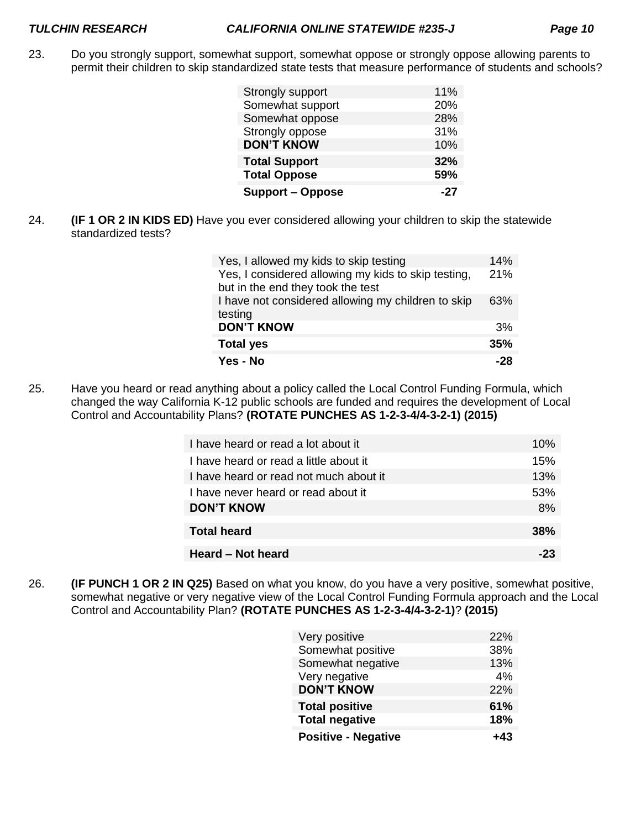23. Do you strongly support, somewhat support, somewhat oppose or strongly oppose allowing parents to permit their children to skip standardized state tests that measure performance of students and schools?

| Strongly support        | 11% |
|-------------------------|-----|
| Somewhat support        | 20% |
| Somewhat oppose         | 28% |
| Strongly oppose         | 31% |
| <b>DON'T KNOW</b>       | 10% |
| <b>Total Support</b>    | 32% |
| <b>Total Oppose</b>     | 59% |
| <b>Support - Oppose</b> | -27 |

24. **(IF 1 OR 2 IN KIDS ED)** Have you ever considered allowing your children to skip the statewide standardized tests?

| Yes, I allowed my kids to skip testing                                                   | 14% |
|------------------------------------------------------------------------------------------|-----|
| Yes, I considered allowing my kids to skip testing,<br>but in the end they took the test | 21% |
| I have not considered allowing my children to skip<br>testing                            | 63% |
| <b>DON'T KNOW</b>                                                                        | 3%  |
| <b>Total yes</b>                                                                         | 35% |
| Yes - No                                                                                 | -28 |

25. Have you heard or read anything about a policy called the Local Control Funding Formula, which changed the way California K-12 public schools are funded and requires the development of Local Control and Accountability Plans? **(ROTATE PUNCHES AS 1-2-3-4/4-3-2-1) (2015)**

| I have heard or read a lot about it    | 10%        |
|----------------------------------------|------------|
| I have heard or read a little about it | 15%        |
| I have heard or read not much about it | 13%        |
| I have never heard or read about it    | 53%        |
| <b>DON'T KNOW</b>                      | 8%         |
| <b>Total heard</b>                     | <b>38%</b> |
| Heard – Not heard                      |            |

26. **(IF PUNCH 1 OR 2 IN Q25)** Based on what you know, do you have a very positive, somewhat positive, somewhat negative or very negative view of the Local Control Funding Formula approach and the Local Control and Accountability Plan? **(ROTATE PUNCHES AS 1-2-3-4/4-3-2-1)**? **(2015)**

| Very positive              | 22% |
|----------------------------|-----|
| Somewhat positive          | 38% |
| Somewhat negative          | 13% |
| Very negative              | 4%  |
| <b>DON'T KNOW</b>          | 22% |
| <b>Total positive</b>      | 61% |
| <b>Total negative</b>      | 18% |
| <b>Positive - Negative</b> | +43 |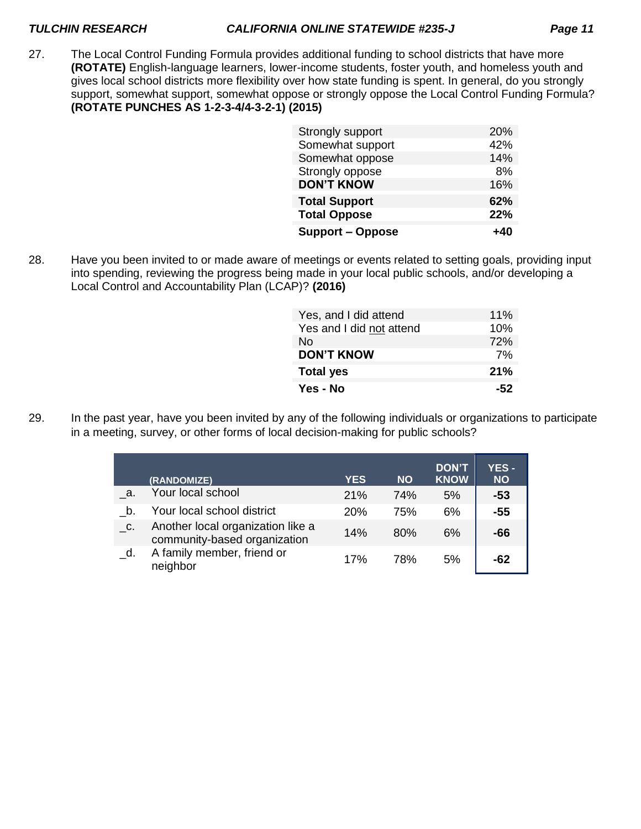27. The Local Control Funding Formula provides additional funding to school districts that have more **(ROTATE)** English-language learners, lower-income students, foster youth, and homeless youth and gives local school districts more flexibility over how state funding is spent. In general, do you strongly support, somewhat support, somewhat oppose or strongly oppose the Local Control Funding Formula? **(ROTATE PUNCHES AS 1-2-3-4/4-3-2-1) (2015)**

| Strongly support        | 20% |
|-------------------------|-----|
| Somewhat support        | 42% |
| Somewhat oppose         | 14% |
| Strongly oppose         | 8%  |
| <b>DON'T KNOW</b>       | 16% |
| <b>Total Support</b>    | 62% |
| <b>Total Oppose</b>     | 22% |
| <b>Support – Oppose</b> | +40 |

28. Have you been invited to or made aware of meetings or events related to setting goals, providing input into spending, reviewing the progress being made in your local public schools, and/or developing a Local Control and Accountability Plan (LCAP)? **(2016)**

| Yes, and I did attend    | 11% |
|--------------------------|-----|
| Yes and I did not attend | 10% |
| No                       | 72% |
| <b>DON'T KNOW</b>        | 7%  |
| <b>Total yes</b>         | 21% |
| Yes - No                 | -52 |

29. In the past year, have you been invited by any of the following individuals or organizations to participate in a meeting, survey, or other forms of local decision-making for public schools?

|    | (RANDOMIZE)                                                       | <b>YES</b> | <b>NO</b> | <b>DON'T</b><br><b>KNOW</b> | <b>YES -</b><br><b>NO</b> |
|----|-------------------------------------------------------------------|------------|-----------|-----------------------------|---------------------------|
| a. | Your local school                                                 | 21%        | 74%       | 5%                          | $-53$                     |
| b. | Your local school district                                        | 20%        | 75%       | 6%                          | $-55$                     |
| C. | Another local organization like a<br>community-based organization | 14%        | 80%       | 6%                          | -66                       |
| d. | A family member, friend or<br>neighbor                            | 17%        | 78%       | 5%                          | -62                       |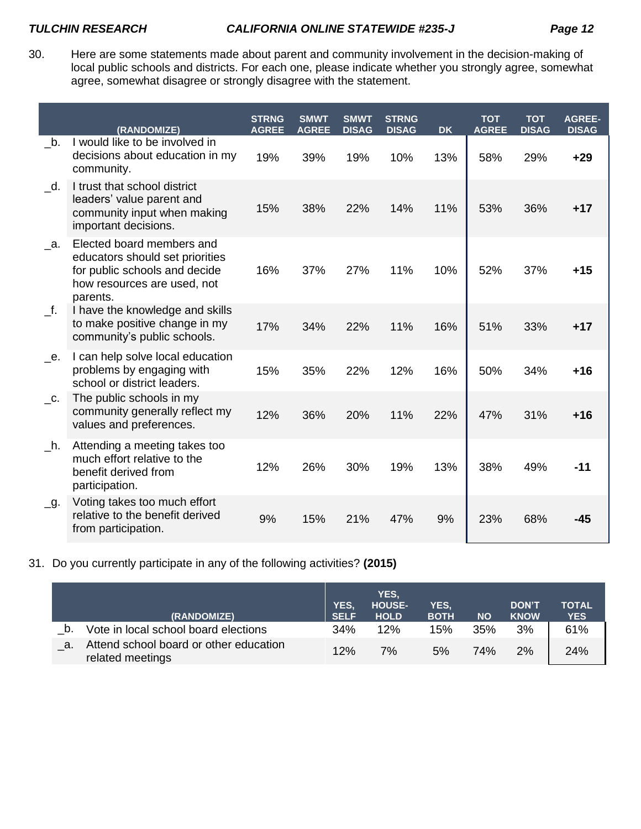30. Here are some statements made about parent and community involvement in the decision-making of local public schools and districts. For each one, please indicate whether you strongly agree, somewhat agree, somewhat disagree or strongly disagree with the statement.

|                             | (RANDOMIZE)                                                                                                                              | <b>STRNG</b><br><b>AGREE</b> | <b>SMWT</b><br><b>AGREE</b> | <b>SMWT</b><br><b>DISAG</b> | <b>STRNG</b><br><b>DISAG</b> | <b>DK</b> | <b>TOT</b><br><b>AGREE</b> | <b>TOT</b><br><b>DISAG</b> | <b>AGREE-</b><br><b>DISAG</b> |
|-----------------------------|------------------------------------------------------------------------------------------------------------------------------------------|------------------------------|-----------------------------|-----------------------------|------------------------------|-----------|----------------------------|----------------------------|-------------------------------|
| $\mathbf{-b}$ .             | I would like to be involved in<br>decisions about education in my<br>community.                                                          | 19%                          | 39%                         | 19%                         | 10%                          | 13%       | 58%                        | 29%                        | $+29$                         |
| $\overline{\phantom{a}}$ d. | I trust that school district<br>leaders' value parent and<br>community input when making<br>important decisions.                         | 15%                          | 38%                         | 22%                         | 14%                          | 11%       | 53%                        | 36%                        | $+17$                         |
| $\_a$ .                     | Elected board members and<br>educators should set priorities<br>for public schools and decide<br>how resources are used, not<br>parents. | 16%                          | 37%                         | 27%                         | 11%                          | 10%       | 52%                        | 37%                        | $+15$                         |
| $\_f.$                      | I have the knowledge and skills<br>to make positive change in my<br>community's public schools.                                          | 17%                          | 34%                         | 22%                         | 11%                          | 16%       | 51%                        | 33%                        | $+17$                         |
| $e$ .                       | I can help solve local education<br>problems by engaging with<br>school or district leaders.                                             | 15%                          | 35%                         | 22%                         | 12%                          | 16%       | 50%                        | 34%                        | $+16$                         |
| $\overline{\phantom{a}}$ .  | The public schools in my<br>community generally reflect my<br>values and preferences.                                                    | 12%                          | 36%                         | 20%                         | 11%                          | 22%       | 47%                        | 31%                        | $+16$                         |
| $\_h.$                      | Attending a meeting takes too<br>much effort relative to the<br>benefit derived from<br>participation.                                   | 12%                          | 26%                         | 30%                         | 19%                          | 13%       | 38%                        | 49%                        | -11                           |
| $\_9$ .                     | Voting takes too much effort<br>relative to the benefit derived<br>from participation.                                                   | 9%                           | 15%                         | 21%                         | 47%                          | 9%        | 23%                        | 68%                        | -45                           |

31. Do you currently participate in any of the following activities? **(2015)**

|    | (RANDOMIZE)                                                | <b>YES.</b><br><b>SELF</b> | YES.<br><b>HOUSE-</b><br><b>HOLD</b> | YES.<br><b>BOTH</b> | <b>NO</b>  | <b>DON'T</b><br><b>KNOW</b> | TOTAL<br><b>YES</b> |
|----|------------------------------------------------------------|----------------------------|--------------------------------------|---------------------|------------|-----------------------------|---------------------|
|    | Vote in local school board elections                       | 34%                        | 12%                                  | 15%                 | 35%        | 3%                          | 61%                 |
| a. | Attend school board or other education<br>related meetings | 12%                        | 7%                                   | 5%                  | <b>74%</b> | 2%                          | 24%                 |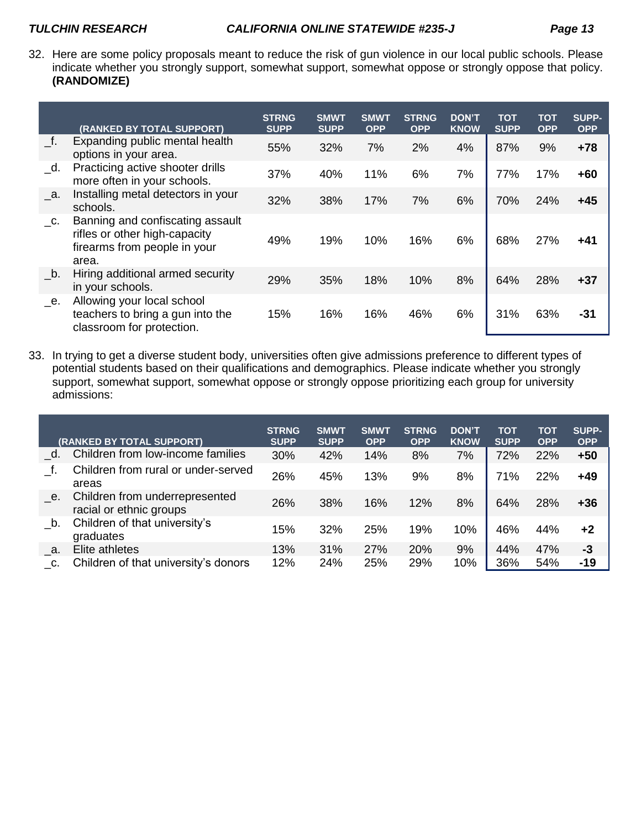32. Here are some policy proposals meant to reduce the risk of gun violence in our local public schools. Please indicate whether you strongly support, somewhat support, somewhat oppose or strongly oppose that policy. **(RANDOMIZE)**

|                            | (RANKED BY TOTAL SUPPORT)                                                                                  | <b>STRNG</b><br><b>SUPP</b> | <b>SMWT</b><br><b>SUPP</b> | <b>SMWT</b><br><b>OPP</b> | <b>STRNG</b><br><b>OPP</b> | <b>DON'T</b><br><b>KNOW</b> | <b>TOT</b><br><b>SUPP</b> | TOT<br><b>OPP</b> | <b>SUPP-</b><br><b>OPP</b> |
|----------------------------|------------------------------------------------------------------------------------------------------------|-----------------------------|----------------------------|---------------------------|----------------------------|-----------------------------|---------------------------|-------------------|----------------------------|
| f.                         | Expanding public mental health<br>options in your area.                                                    | 55%                         | 32%                        | 7%                        | 2%                         | 4%                          | 87%                       | 9%                | $+78$                      |
| d.                         | Practicing active shooter drills<br>more often in your schools.                                            | 37%                         | 40%                        | 11%                       | 6%                         | 7%                          | 77%                       | 17%               | $+60$                      |
| - а.                       | Installing metal detectors in your<br>schools.                                                             | 32%                         | 38%                        | 17%                       | 7%                         | 6%                          | 70%                       | 24%               | $+45$                      |
| $\overline{\phantom{a}}$ . | Banning and confiscating assault<br>rifles or other high-capacity<br>firearms from people in your<br>area. | 49%                         | 19%                        | 10%                       | 16%                        | 6%                          | 68%                       | 27%               | +41                        |
| b.                         | Hiring additional armed security<br>in your schools.                                                       | 29%                         | 35%                        | 18%                       | 10%                        | 8%                          | 64%                       | 28%               | $+37$                      |
| е.                         | Allowing your local school<br>teachers to bring a gun into the<br>classroom for protection.                | 15%                         | 16%                        | 16%                       | 46%                        | 6%                          | 31%                       | 63%               | -31                        |

33. In trying to get a diverse student body, universities often give admissions preference to different types of potential students based on their qualifications and demographics. Please indicate whether you strongly support, somewhat support, somewhat oppose or strongly oppose prioritizing each group for university admissions:

|         | (RANKED BY TOTAL SUPPORT)                                 | <b>STRNG</b><br><b>SUPP</b> | <b>SMWT</b><br><b>SUPP</b> | <b>SMWT</b><br><b>OPP</b> | <b>STRNG</b><br><b>OPP</b> | <b>DON'T</b><br><b>KNOW</b> | <b>TOT</b><br><b>SUPP</b> | <b>TOT</b><br><b>OPP</b> | <b>SUPP-</b><br><b>OPP</b> |
|---------|-----------------------------------------------------------|-----------------------------|----------------------------|---------------------------|----------------------------|-----------------------------|---------------------------|--------------------------|----------------------------|
| d.      | Children from low-income families                         | 30%                         | 42%                        | 14%                       | 8%                         | 7%                          | 72%                       | 22%                      | $+50$                      |
|         | Children from rural or under-served<br>areas              | 26%                         | 45%                        | 13%                       | 9%                         | 8%                          | 71%                       | 22%                      | $+49$                      |
| $e$ .   | Children from underrepresented<br>racial or ethnic groups | 26%                         | 38%                        | 16%                       | 12%                        | 8%                          | 64%                       | 28%                      | $+36$                      |
| b.      | Children of that university's<br>graduates                | 15%                         | 32%                        | 25%                       | 19%                        | 10%                         | 46%                       | 44%                      | +2                         |
| $\_{a}$ | Elite athletes                                            | 13%                         | 31%                        | 27%                       | 20%                        | 9%                          | 44%                       | 47%                      | $-3$                       |
| C.      | Children of that university's donors                      | 12%                         | 24%                        | 25%                       | 29%                        | 10%                         | 36%                       | 54%                      | $-19$                      |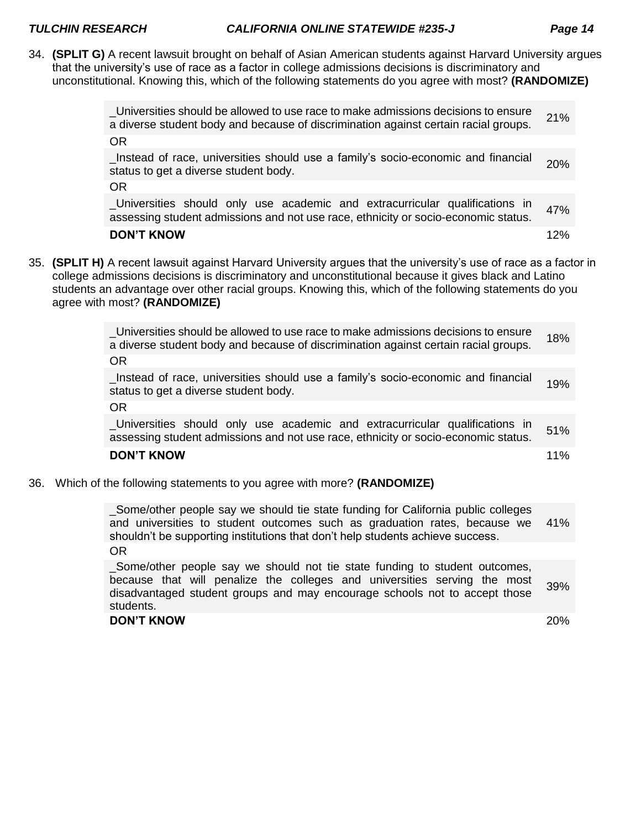34. **(SPLIT G)** A recent lawsuit brought on behalf of Asian American students against Harvard University argues that the university's use of race as a factor in college admissions decisions is discriminatory and unconstitutional. Knowing this, which of the following statements do you agree with most? **(RANDOMIZE)**

|  | _Universities should be allowed to use race to make admissions decisions to ensure<br>a diverse student body and because of discrimination against certain racial groups.                                                                                                                                                                                                   | 21% |
|--|-----------------------------------------------------------------------------------------------------------------------------------------------------------------------------------------------------------------------------------------------------------------------------------------------------------------------------------------------------------------------------|-----|
|  | <b>OR</b>                                                                                                                                                                                                                                                                                                                                                                   |     |
|  | Instead of race, universities should use a family's socio-economic and financial<br>status to get a diverse student body.                                                                                                                                                                                                                                                   | 20% |
|  | OR.                                                                                                                                                                                                                                                                                                                                                                         |     |
|  | Universities should only use academic and extracurricular qualifications in<br>assessing student admissions and not use race, ethnicity or socio-economic status.                                                                                                                                                                                                           | 47% |
|  | <b>DON'T KNOW</b>                                                                                                                                                                                                                                                                                                                                                           | 12% |
|  | 35. <b>(SPLIT H)</b> A recent lawsuit against Harvard University argues that the university's use of race as a factor in<br>college admissions decisions is discriminatory and unconstitutional because it gives black and Latino<br>students an advantage over other racial groups. Knowing this, which of the following statements do you<br>agree with most? (RANDOMIZE) |     |
|  | _Universities should be allowed to use race to make admissions decisions to ensure<br>a diverse student body and because of discrimination against certain racial groups.                                                                                                                                                                                                   | 18% |
|  | OR.                                                                                                                                                                                                                                                                                                                                                                         |     |

\_Instead of race, universities should use a family's socio-economic and financial status to get a diverse student body.

OR

\_Universities should only use academic and extracurricular qualifications in assessing student admissions and not use race, ethnicity or socio-economic status. 51%

### **DON'T KNOW 11%** and the contract of the contract of the contract of the contract of the contract of the contract of the contract of the contract of the contract of the contract of the contract of the contract of the contr

36. Which of the following statements to you agree with more? **(RANDOMIZE)**

\_Some/other people say we should tie state funding for California public colleges and universities to student outcomes such as graduation rates, because we shouldn't be supporting institutions that don't help students achieve success. 41% OR

\_Some/other people say we should not tie state funding to student outcomes, because that will penalize the colleges and universities serving the most disadvantaged student groups and may encourage schools not to accept those students. 39%

### **DON'T KNOW** 20%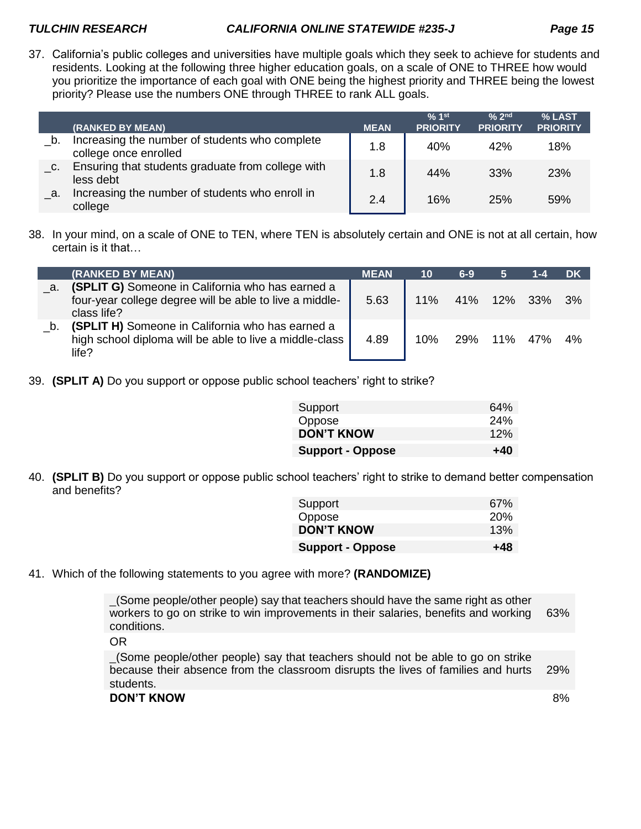37. California's public colleges and universities have multiple goals which they seek to achieve for students and residents. Looking at the following three higher education goals, on a scale of ONE to THREE how would you prioritize the importance of each goal with ONE being the highest priority and THREE being the lowest priority? Please use the numbers ONE through THREE to rank ALL goals.

|    | (RANKED BY MEAN)                                                        | <b>MEAN</b> | $% 1$ st<br><b>PRIORITY</b> | $\frac{6}{6}$ 2nd<br><b>PRIORITY</b> | % LAST<br><b>PRIORITY</b> |
|----|-------------------------------------------------------------------------|-------------|-----------------------------|--------------------------------------|---------------------------|
| b. | Increasing the number of students who complete<br>college once enrolled | 1.8         | 40%                         | 42%                                  | 18%                       |
| C. | Ensuring that students graduate from college with<br>less debt          | 1.8         | 44%                         | 33%                                  | <b>23%</b>                |
| a. | Increasing the number of students who enroll in<br>college              | 2.4         | 16%                         | 25%                                  | 59%                       |

38. In your mind, on a scale of ONE to TEN, where TEN is absolutely certain and ONE is not at all certain, how certain is it that…

|           | (RANKED BY MEAN)                                                                                                           | MEAN | 10  | $6-9$ | 5              | 1-4 | DK |
|-----------|----------------------------------------------------------------------------------------------------------------------------|------|-----|-------|----------------|-----|----|
| <u>a.</u> | (SPLIT G) Someone in California who has earned a<br>four-year college degree will be able to live a middle-<br>class life? | 5.63 | 11% |       | 41% 12% 33% 3% |     |    |
| b.        | (SPLIT H) Someone in California who has earned a<br>high school diploma will be able to live a middle-class<br>life?       | 4.89 | 10% | 29%   | 11%            | 47% | 4% |

39. **(SPLIT A)** Do you support or oppose public school teachers' right to strike?

| Support                 | 64% |
|-------------------------|-----|
| Oppose                  | 24% |
| <b>DON'T KNOW</b>       | 12% |
| <b>Support - Oppose</b> | +40 |

40. **(SPLIT B)** Do you support or oppose public school teachers' right to strike to demand better compensation and benefits?

| Support                 | 67%        |
|-------------------------|------------|
| Oppose                  | <b>20%</b> |
| <b>DON'T KNOW</b>       | 13%        |
| <b>Support - Oppose</b> | +48        |

41. Which of the following statements to you agree with more? **(RANDOMIZE)**

\_(Some people/other people) say that teachers should have the same right as other workers to go on strike to win improvements in their salaries, benefits and working conditions. 63%

OR

\_(Some people/other people) say that teachers should not be able to go on strike because their absence from the classroom disrupts the lives of families and hurts students. 29%

**DON'T KNOW** 8%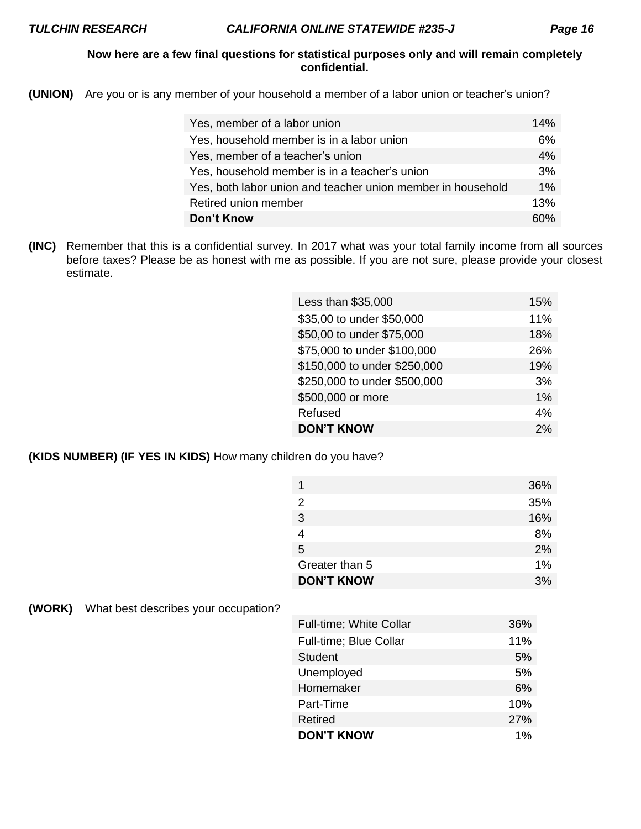# **Now here are a few final questions for statistical purposes only and will remain completely confidential.**

**(UNION)** Are you or is any member of your household a member of a labor union or teacher's union?

| Yes, member of a labor union                                | 14%   |
|-------------------------------------------------------------|-------|
| Yes, household member is in a labor union                   | 6%    |
| Yes, member of a teacher's union                            | 4%    |
| Yes, household member is in a teacher's union               | 3%    |
| Yes, both labor union and teacher union member in household | $1\%$ |
| Retired union member                                        | 13%   |
| Don't Know                                                  | ናበ%   |

**(INC)** Remember that this is a confidential survey. In 2017 what was your total family income from all sources before taxes? Please be as honest with me as possible. If you are not sure, please provide your closest estimate.

| Less than \$35,000           | 15% |
|------------------------------|-----|
| \$35,00 to under \$50,000    | 11% |
| \$50,00 to under \$75,000    | 18% |
| \$75,000 to under \$100,000  | 26% |
| \$150,000 to under \$250,000 | 19% |
| \$250,000 to under \$500,000 | 3%  |
| \$500,000 or more            | 1%  |
| Refused                      | 4%  |
| <b>DON'T KNOW</b>            | 2%  |

**(KIDS NUMBER) (IF YES IN KIDS)** How many children do you have?

|                   | 36% |
|-------------------|-----|
| 2                 | 35% |
| 3                 | 16% |
|                   | 8%  |
| 5                 | 2%  |
| Greater than 5    | 1%  |
| <b>DON'T KNOW</b> | 3%  |

**(WORK)** What best describes your occupation?

| <b>Full-time; White Collar</b> | 36%   |
|--------------------------------|-------|
| Full-time; Blue Collar         | 11%   |
| <b>Student</b>                 | 5%    |
| Unemployed                     | 5%    |
| Homemaker                      | 6%    |
| Part-Time                      | 10%   |
| <b>Retired</b>                 | 27%   |
| <b>DON'T KNOW</b>              | $1\%$ |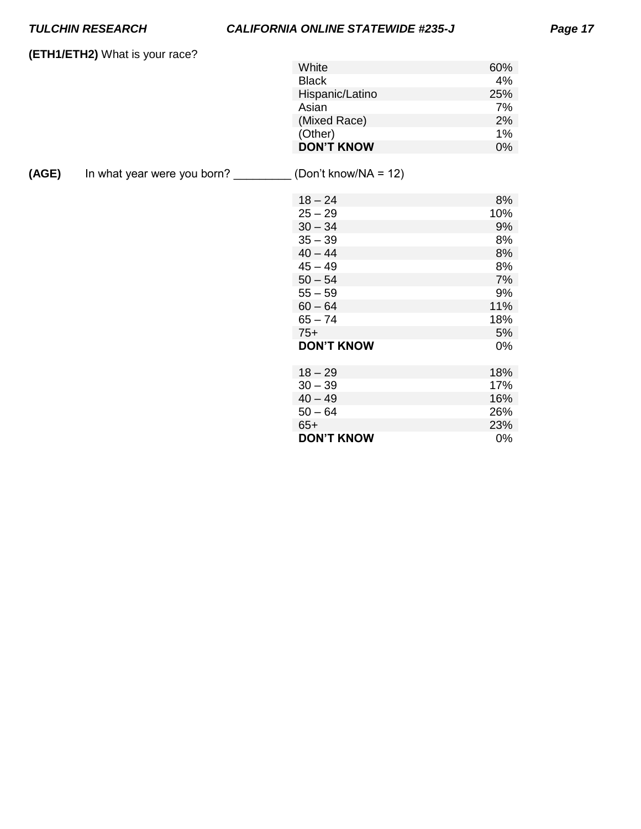# *TULCHIN RESEARCH CALIFORNIA ONLINE STATEWIDE #235-J Page 17*

**(ETH1/ETH2)** What is your race?

| White             | 60% |
|-------------------|-----|
| <b>Black</b>      | 4%  |
| Hispanic/Latino   | 25% |
| Asian             | 7%  |
| (Mixed Race)      | 2%  |
| (Other)           | 1%  |
| <b>DON'T KNOW</b> | በ%  |

**(AGE)** In what year were you born? \_\_\_\_\_\_\_\_\_ (Don't know/NA = 12)

| $18 - 24$         | 8%  |
|-------------------|-----|
| $25 - 29$         | 10% |
| $30 - 34$         | 9%  |
| $35 - 39$         | 8%  |
| $40 - 44$         | 8%  |
| $45 - 49$         | 8%  |
| $50 - 54$         | 7%  |
| $55 - 59$         | 9%  |
| $60 - 64$         | 11% |
| $65 - 74$         | 18% |
| $75+$             | 5%  |
| <b>DON'T KNOW</b> | 0%  |
|                   |     |
| $18 - 29$         | 18% |
| $30 - 39$         | 17% |
| $40 - 49$         | 16% |
| $50 - 64$         | 26% |
| $65+$             | 23% |
| <b>DON'T KNOW</b> | 0%  |